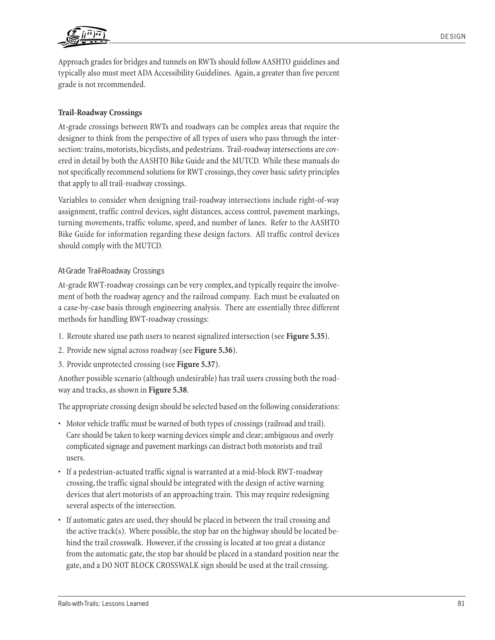

Approach grades for bridges and tunnels on RWTs should follow AASHTO guidelines and typically also must meet ADA Accessibility Guidelines. Again, a greater than five percent grade is not recommended.

## **Trail-Roadway Crossings**

At-grade crossings between RWTs and roadways can be complex areas that require the designer to think from the perspective of all types of users who pass through the intersection: trains, motorists, bicyclists, and pedestrians. Trail-roadway intersections are covered in detail by both the AASHTO Bike Guide and the MUTCD. While these manuals do not specifically recommend solutions for RWT crossings, they cover basic safety principles that apply to all trail-roadway crossings.

Variables to consider when designing trail-roadway intersections include right-of-way assignment, traffic control devices, sight distances, access control, pavement markings, turning movements, traffic volume, speed, and number of lanes. Refer to the AASHTO Bike Guide for information regarding these design factors. All traffic control devices should comply with the MUTCD.

## At-Grade Trail-Roadway Crossings

At-grade RWT-roadway crossings can be very complex, and typically require the involvement of both the roadway agency and the railroad company. Each must be evaluated on a case-by-case basis through engineering analysis. There are essentially three different methods for handling RWT-roadway crossings:

- 1. Reroute shared use path users to nearest signalized intersection (see **Figure 5.35**).
- 2. Provide new signal across roadway (see **Figure 5.36**).
- 3. Provide unprotected crossing (see **Figure 5.37**).

Another possible scenario (although undesirable) has trail users crossing both the roadway and tracks, as shown in **Figure 5.38**.

The appropriate crossing design should be selected based on the following considerations:

- Motor vehicle traffic must be warned of both types of crossings (railroad and trail). Care should be taken to keep warning devices simple and clear; ambiguous and overly complicated signage and pavement markings can distract both motorists and trail users.
- If a pedestrian-actuated traffic signal is warranted at a mid-block RWT-roadway crossing, the traffic signal should be integrated with the design of active warning devices that alert motorists of an approaching train. This may require redesigning several aspects of the intersection.
- If automatic gates are used, they should be placed in between the trail crossing and the active track(s). Where possible, the stop bar on the highway should be located behind the trail crosswalk. However, if the crossing is located at too great a distance from the automatic gate, the stop bar should be placed in a standard position near the gate, and a DO NOT BLOCK CROSSWALK sign should be used at the trail crossing.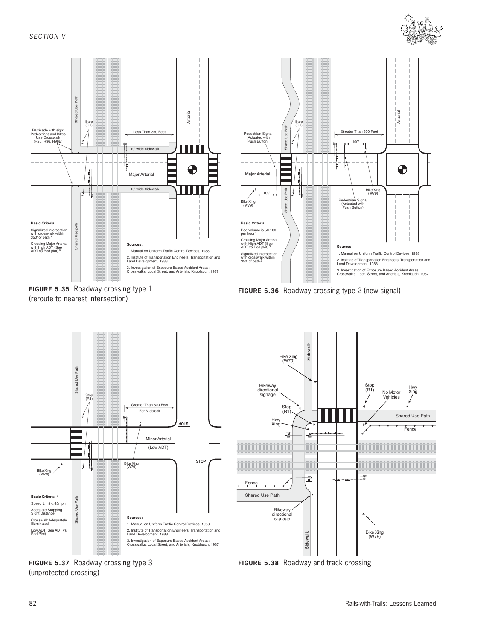

(reroute to nearest intersection)



**FIGURE 5.37** Roadway crossing type 3 **FIGURE 5.38** Roadway and track crossing (unprotected crossing)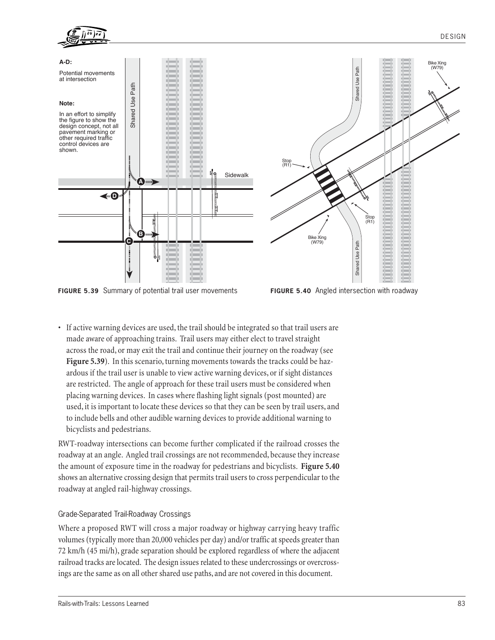

**FIGURE 5.39** Summary of potential trail user movements **FIGURE 5.40** Angled intersection with roadway

• If active warning devices are used, the trail should be integrated so that trail users are made aware of approaching trains. Trail users may either elect to travel straight across the road, or may exit the trail and continue their journey on the roadway (see **Figure 5.39**). In this scenario, turning movements towards the tracks could be hazardous if the trail user is unable to view active warning devices, or if sight distances are restricted. The angle of approach for these trail users must be considered when placing warning devices. In cases where flashing light signals (post mounted) are used, it is important to locate these devices so that they can be seen by trail users, and to include bells and other audible warning devices to provide additional warning to bicyclists and pedestrians.

RWT-roadway intersections can become further complicated if the railroad crosses the roadway at an angle. Angled trail crossings are not recommended, because they increase the amount of exposure time in the roadway for pedestrians and bicyclists. **Figure 5.40**  shows an alternative crossing design that permits trail users to cross perpendicular to the roadway at angled rail-highway crossings.

# Grade-Separated Trail-Roadway Crossings

Where a proposed RWT will cross a major roadway or highway carrying heavy traffic volumes (typically more than 20,000 vehicles per day) and/or traffic at speeds greater than 72 km/h (45 mi/h), grade separation should be explored regardless of where the adjacent railroad tracks are located. The design issues related to these undercrossings or overcrossings are the same as on all other shared use paths, and are not covered in this document.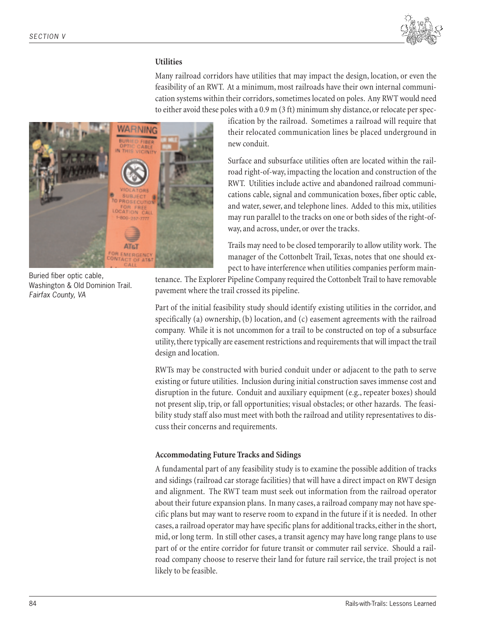

#### **Utilities**

Many railroad corridors have utilities that may impact the design, location, or even the feasibility of an RWT. At a minimum, most railroads have their own internal communication systems within their corridors, sometimes located on poles. Any RWT would need to either avoid these poles with a 0.9 m (3 ft) minimum shy distance, or relocate per spec-



Buried fiber optic cable, Washington & Old Dominion Trail. *Fairfax County, VA* 

ification by the railroad. Sometimes a railroad will require that their relocated communication lines be placed underground in new conduit.

Surface and subsurface utilities often are located within the railroad right-of-way, impacting the location and construction of the RWT. Utilities include active and abandoned railroad communications cable, signal and communication boxes, fiber optic cable, and water, sewer, and telephone lines. Added to this mix, utilities may run parallel to the tracks on one or both sides of the right-ofway, and across, under, or over the tracks.

Trails may need to be closed temporarily to allow utility work. The manager of the Cottonbelt Trail, Texas, notes that one should expect to have interference when utilities companies perform main-

tenance. The Explorer Pipeline Company required the Cottonbelt Trail to have removable pavement where the trail crossed its pipeline.

Part of the initial feasibility study should identify existing utilities in the corridor, and specifically (a) ownership, (b) location, and (c) easement agreements with the railroad company. While it is not uncommon for a trail to be constructed on top of a subsurface utility, there typically are easement restrictions and requirements that will impact the trail design and location.

RWTs may be constructed with buried conduit under or adjacent to the path to serve existing or future utilities. Inclusion during initial construction saves immense cost and disruption in the future. Conduit and auxiliary equipment (e.g., repeater boxes) should not present slip, trip, or fall opportunities; visual obstacles; or other hazards. The feasibility study staff also must meet with both the railroad and utility representatives to discuss their concerns and requirements.

## **Accommodating Future Tracks and Sidings**

A fundamental part of any feasibility study is to examine the possible addition of tracks and sidings (railroad car storage facilities) that will have a direct impact on RWT design and alignment. The RWT team must seek out information from the railroad operator about their future expansion plans. In many cases, a railroad company may not have specific plans but may want to reserve room to expand in the future if it is needed. In other cases, a railroad operator may have specific plans for additional tracks, either in the short, mid, or long term. In still other cases, a transit agency may have long range plans to use part of or the entire corridor for future transit or commuter rail service. Should a railroad company choose to reserve their land for future rail service, the trail project is not likely to be feasible.